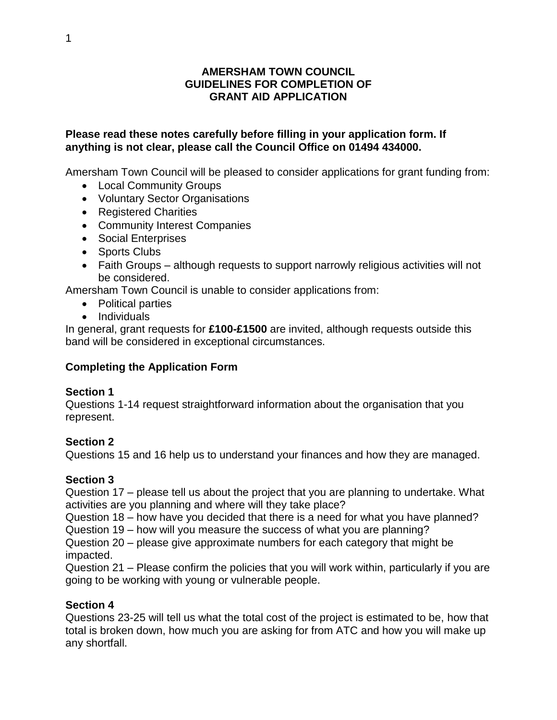#### **AMERSHAM TOWN COUNCIL GUIDELINES FOR COMPLETION OF GRANT AID APPLICATION**

#### **Please read these notes carefully before filling in your application form. If anything is not clear, please call the Council Office on 01494 434000.**

Amersham Town Council will be pleased to consider applications for grant funding from:

- Local Community Groups
- Voluntary Sector Organisations
- Registered Charities
- Community Interest Companies
- Social Enterprises
- Sports Clubs
- Faith Groups although requests to support narrowly religious activities will not be considered.

Amersham Town Council is unable to consider applications from:

- Political parties
- Individuals

In general, grant requests for **£100-£1500** are invited, although requests outside this band will be considered in exceptional circumstances.

# **Completing the Application Form**

#### **Section 1**

Questions 1-14 request straightforward information about the organisation that you represent.

# **Section 2**

Questions 15 and 16 help us to understand your finances and how they are managed.

# **Section 3**

Question 17 – please tell us about the project that you are planning to undertake. What activities are you planning and where will they take place?

Question 18 – how have you decided that there is a need for what you have planned?

Question 19 – how will you measure the success of what you are planning?

Question 20 – please give approximate numbers for each category that might be impacted.

Question 21 – Please confirm the policies that you will work within, particularly if you are going to be working with young or vulnerable people.

# **Section 4**

Questions 23-25 will tell us what the total cost of the project is estimated to be, how that total is broken down, how much you are asking for from ATC and how you will make up any shortfall.